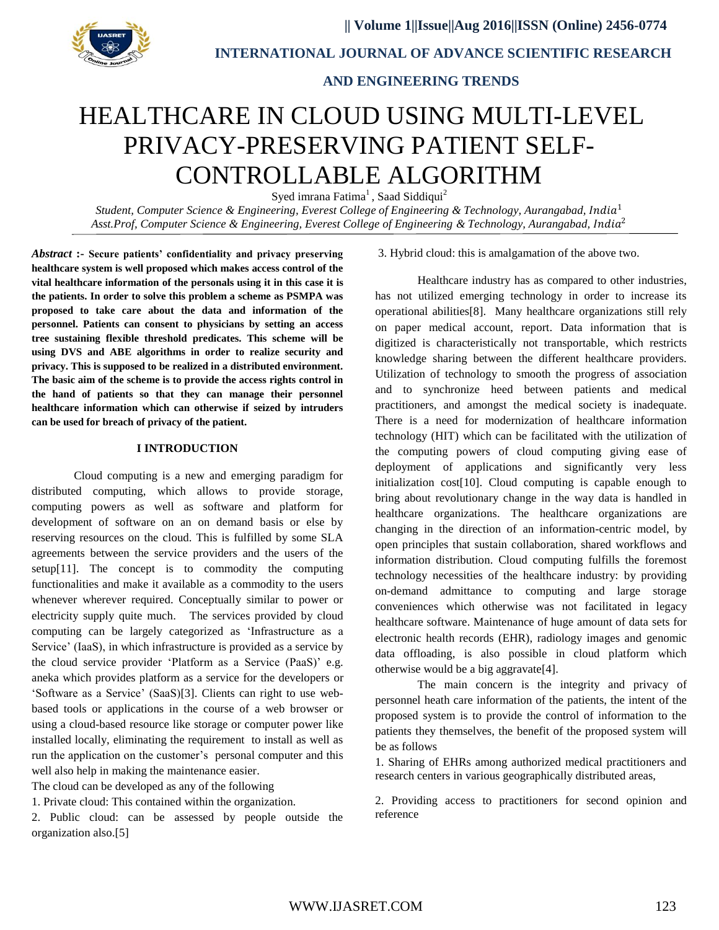

 **INTERNATIONAL JOURNAL OF ADVANCE SCIENTIFIC RESEARCH**

 **AND ENGINEERING TRENDS**

# HEALTHCARE IN CLOUD USING MULTI-LEVEL PRIVACY-PRESERVING PATIENT SELF-CONTROLLABLE ALGORITHM

Syed imrana Fatima<sup>1</sup>, Saad Siddiqui<sup>2</sup>

*Student, Computer Science & Engineering, Everest College of Engineering & Technology, Aurangabad,*  1 Asst.Prof, Computer Science & Engineering, Everest College of Engineering & Technology, Aurangabad, India<sup>2</sup>

*Abstract* **:- Secure patients' confidentiality and privacy preserving healthcare system is well proposed which makes access control of the vital healthcare information of the personals using it in this case it is the patients. In order to solve this problem a scheme as PSMPA was proposed to take care about the data and information of the personnel. Patients can consent to physicians by setting an access tree sustaining flexible threshold predicates. This scheme will be using DVS and ABE algorithms in order to realize security and privacy. This is supposed to be realized in a distributed environment. The basic aim of the scheme is to provide the access rights control in the hand of patients so that they can manage their personnel healthcare information which can otherwise if seized by intruders can be used for breach of privacy of the patient.**

### **I INTRODUCTION**

Cloud computing is a new and emerging paradigm for distributed computing, which allows to provide storage, computing powers as well as software and platform for development of software on an on demand basis or else by reserving resources on the cloud. This is fulfilled by some SLA agreements between the service providers and the users of the setup[11]. The concept is to commodity the computing functionalities and make it available as a commodity to the users whenever wherever required. Conceptually similar to power or electricity supply quite much. The services provided by cloud computing can be largely categorized as 'Infrastructure as a Service' (IaaS), in which infrastructure is provided as a service by the cloud service provider 'Platform as a Service (PaaS)' e.g. aneka which provides platform as a service for the developers or 'Software as a Service' (SaaS)[3]. Clients can right to use webbased tools or applications in the course of a web browser or using a cloud-based resource like storage or computer power like installed locally, eliminating the requirement to install as well as run the application on the customer's personal computer and this well also help in making the maintenance easier.

The cloud can be developed as any of the following

1. Private cloud: This contained within the organization.

2. Public cloud: can be assessed by people outside the organization also.[5]

#### 3. Hybrid cloud: this is amalgamation of the above two.

Healthcare industry has as compared to other industries, has not utilized emerging technology in order to increase its operational abilities[8]. Many healthcare organizations still rely on paper medical account, report. Data information that is digitized is characteristically not transportable, which restricts knowledge sharing between the different healthcare providers. Utilization of technology to smooth the progress of association and to synchronize heed between patients and medical practitioners, and amongst the medical society is inadequate. There is a need for modernization of healthcare information technology (HIT) which can be facilitated with the utilization of the computing powers of cloud computing giving ease of deployment of applications and significantly very less initialization cost[10]. Cloud computing is capable enough to bring about revolutionary change in the way data is handled in healthcare organizations. The healthcare organizations are changing in the direction of an information-centric model, by open principles that sustain collaboration, shared workflows and information distribution. Cloud computing fulfills the foremost technology necessities of the healthcare industry: by providing on-demand admittance to computing and large storage conveniences which otherwise was not facilitated in legacy healthcare software. Maintenance of huge amount of data sets for electronic health records (EHR), radiology images and genomic data offloading, is also possible in cloud platform which otherwise would be a big aggravate[4].

The main concern is the integrity and privacy of personnel heath care information of the patients, the intent of the proposed system is to provide the control of information to the patients they themselves, the benefit of the proposed system will be as follows

1. Sharing of EHRs among authorized medical practitioners and research centers in various geographically distributed areas,

2. Providing access to practitioners for second opinion and reference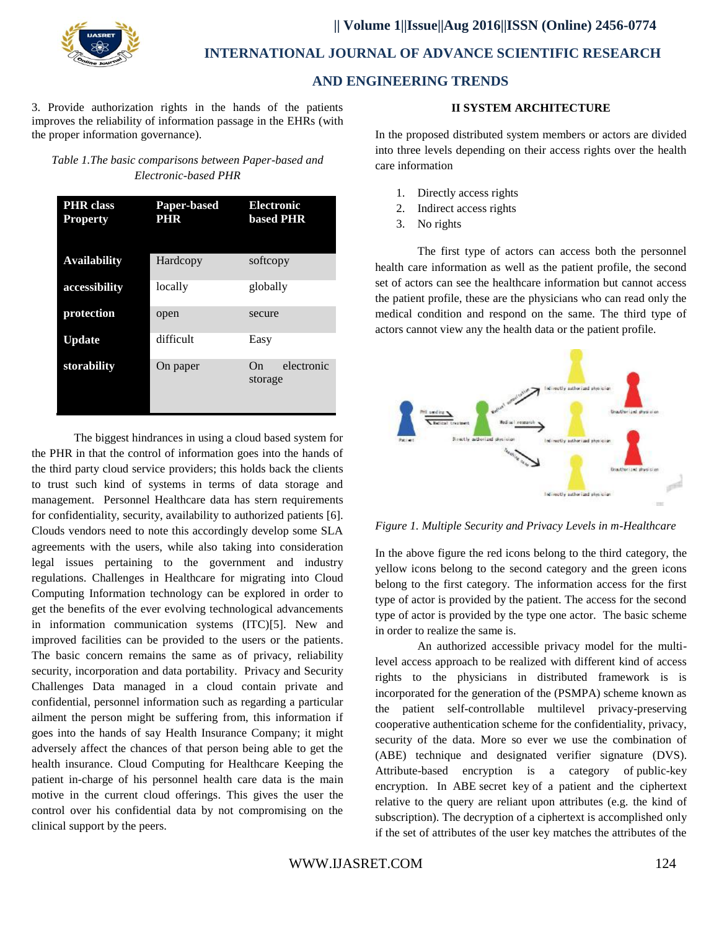

 **INTERNATIONAL JOURNAL OF ADVANCE SCIENTIFIC RESEARCH**

## **AND ENGINEERING TRENDS**

3. Provide authorization rights in the hands of the patients improves the reliability of information passage in the EHRs (with the proper information governance).

## *Table 1.The basic comparisons between Paper-based and Electronic-based PHR*

| <b>PHR</b> class<br><b>Property</b> | Paper-based<br><b>PHR</b> | <b>Electronic</b><br><b>based PHR</b> |
|-------------------------------------|---------------------------|---------------------------------------|
| <b>Availability</b>                 | Hardcopy                  | softcopy                              |
| accessibility                       | locally                   | globally                              |
| protection                          | open                      | secure                                |
| <b>Update</b>                       | difficult                 | Easy                                  |
| storability                         | On paper                  | electronic<br>On<br>storage           |

The biggest hindrances in using a cloud based system for the PHR in that the control of information goes into the hands of the third party cloud service providers; this holds back the clients to trust such kind of systems in terms of data storage and management. Personnel Healthcare data has stern requirements for confidentiality, security, availability to authorized patients [6]. Clouds vendors need to note this accordingly develop some SLA agreements with the users, while also taking into consideration legal issues pertaining to the government and industry regulations. Challenges in Healthcare for migrating into Cloud Computing Information technology can be explored in order to get the benefits of the ever evolving technological advancements in information communication systems (ITC)[5]. New and improved facilities can be provided to the users or the patients. The basic concern remains the same as of privacy, reliability security, incorporation and data portability. Privacy and Security Challenges Data managed in a cloud contain private and confidential, personnel information such as regarding a particular ailment the person might be suffering from, this information if goes into the hands of say Health Insurance Company; it might adversely affect the chances of that person being able to get the health insurance. Cloud Computing for Healthcare Keeping the patient in-charge of his personnel health care data is the main motive in the current cloud offerings. This gives the user the control over his confidential data by not compromising on the clinical support by the peers.

#### **II SYSTEM ARCHITECTURE**

In the proposed distributed system members or actors are divided into three levels depending on their access rights over the health care information

- 1. Directly access rights
- 2. Indirect access rights
- 3. No rights

The first type of actors can access both the personnel health care information as well as the patient profile, the second set of actors can see the healthcare information but cannot access the patient profile, these are the physicians who can read only the medical condition and respond on the same. The third type of actors cannot view any the health data or the patient profile.



*Figure 1. Multiple Security and Privacy Levels in m-Healthcare*

In the above figure the red icons belong to the third category, the yellow icons belong to the second category and the green icons belong to the first category. The information access for the first type of actor is provided by the patient. The access for the second type of actor is provided by the type one actor. The basic scheme in order to realize the same is.

An authorized accessible privacy model for the multilevel access approach to be realized with different kind of access rights to the physicians in distributed framework is is incorporated for the generation of the (PSMPA) scheme known as the patient self-controllable multilevel privacy-preserving cooperative authentication scheme for the confidentiality, privacy, security of the data. More so ever we use the combination of (ABE) technique and designated verifier signature (DVS). Attribute-based encryption is a category of public-key encryption. In ABE secret key of a patient and the ciphertext relative to the query are reliant upon attributes (e.g. the kind of subscription). The decryption of a ciphertext is accomplished only if the set of attributes of the user key matches the attributes of the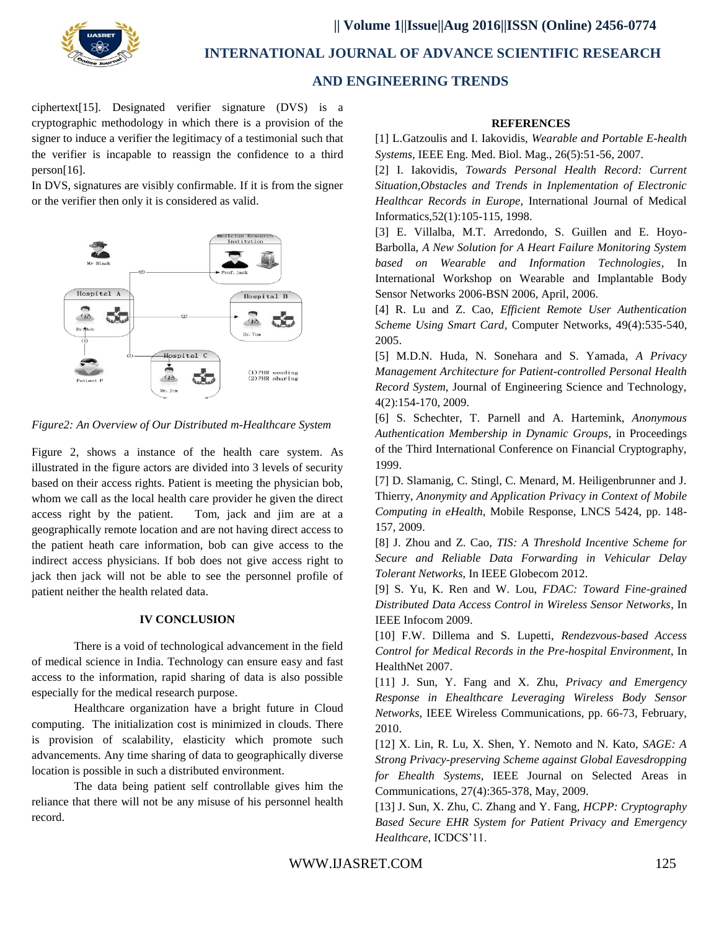

 **|| Volume 1||Issue||Aug 2016||ISSN (Online) 2456-0774**

 **INTERNATIONAL JOURNAL OF ADVANCE SCIENTIFIC RESEARCH**

## **AND ENGINEERING TRENDS**

ciphertext[15]. Designated verifier signature (DVS) is a cryptographic methodology in which there is a provision of the signer to induce a verifier the legitimacy of a testimonial such that the verifier is incapable to reassign the confidence to a third person[16].

In DVS, signatures are visibly confirmable. If it is from the signer or the verifier then only it is considered as valid.



*Figure2: An Overview of Our Distributed m-Healthcare System*

Figure 2, shows a instance of the health care system. As illustrated in the figure actors are divided into 3 levels of security based on their access rights. Patient is meeting the physician bob, whom we call as the local health care provider he given the direct access right by the patient. Tom, jack and jim are at a geographically remote location and are not having direct access to the patient heath care information, bob can give access to the indirect access physicians. If bob does not give access right to jack then jack will not be able to see the personnel profile of patient neither the health related data.

## **IV CONCLUSION**

There is a void of technological advancement in the field of medical science in India. Technology can ensure easy and fast access to the information, rapid sharing of data is also possible especially for the medical research purpose.

Healthcare organization have a bright future in Cloud computing. The initialization cost is minimized in clouds. There is provision of scalability, elasticity which promote such advancements. Any time sharing of data to geographically diverse location is possible in such a distributed environment.

The data being patient self controllable gives him the reliance that there will not be any misuse of his personnel health record.

#### **REFERENCES**

[1] L.Gatzoulis and I. Iakovidis, *Wearable and Portable E-health Systems*, IEEE Eng. Med. Biol. Mag., 26(5):51-56, 2007.

[2] I. Iakovidis, *Towards Personal Health Record: Current Situation,Obstacles and Trends in Inplementation of Electronic Healthcar Records in Europe*, International Journal of Medical Informatics,52(1):105-115, 1998.

[3] E. Villalba, M.T. Arredondo, S. Guillen and E. Hoyo-Barbolla, *A New Solution for A Heart Failure Monitoring System based on Wearable and Information Technologies*, In International Workshop on Wearable and Implantable Body Sensor Networks 2006-BSN 2006, April, 2006.

[4] R. Lu and Z. Cao, *Efficient Remote User Authentication Scheme Using Smart Card*, Computer Networks, 49(4):535-540, 2005.

[5] M.D.N. Huda, N. Sonehara and S. Yamada, *A Privacy Management Architecture for Patient-controlled Personal Health Record System*, Journal of Engineering Science and Technology, 4(2):154-170, 2009.

[6] S. Schechter, T. Parnell and A. Hartemink, *Anonymous Authentication Membership in Dynamic Groups*, in Proceedings of the Third International Conference on Financial Cryptography, 1999.

[7] D. Slamanig, C. Stingl, C. Menard, M. Heiligenbrunner and J. Thierry, *Anonymity and Application Privacy in Context of Mobile Computing in eHealth*, Mobile Response, LNCS 5424, pp. 148- 157, 2009.

[8] J. Zhou and Z. Cao, *TIS: A Threshold Incentive Scheme for Secure and Reliable Data Forwarding in Vehicular Delay Tolerant Networks*, In IEEE Globecom 2012.

[9] S. Yu, K. Ren and W. Lou, *FDAC: Toward Fine-grained Distributed Data Access Control in Wireless Sensor Networks*, In IEEE Infocom 2009.

[10] F.W. Dillema and S. Lupetti, *Rendezvous-based Access Control for Medical Records in the Pre-hospital Environment*, In HealthNet 2007.

[11] J. Sun, Y. Fang and X. Zhu, *Privacy and Emergency Response in Ehealthcare Leveraging Wireless Body Sensor Networks*, IEEE Wireless Communications, pp. 66-73, February, 2010.

[12] X. Lin, R. Lu, X. Shen, Y. Nemoto and N. Kato, *SAGE: A Strong Privacy-preserving Scheme against Global Eavesdropping for Ehealth Systems*, IEEE Journal on Selected Areas in Communications, 27(4):365-378, May, 2009.

[13] J. Sun, X. Zhu, C. Zhang and Y. Fang, *HCPP: Cryptography Based Secure EHR System for Patient Privacy and Emergency Healthcare*, ICDCS'11.